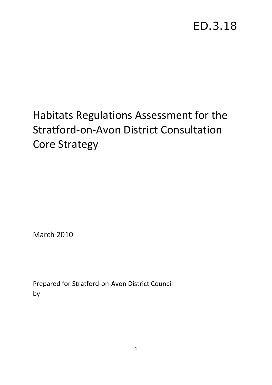# ED.3.18

# Habitats Regulations Assessment for the Stratford‐on‐Avon District Consultation Core Strategy

March 2010

Prepared for Stratford‐on‐Avon District Council by Levett-Therivel sustainability consultants

1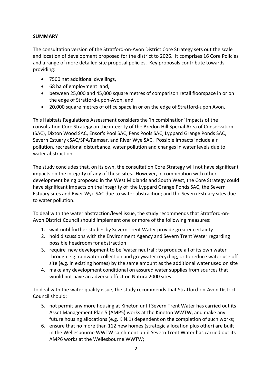# **SUMMARY**

The consultation version of the Stratford‐on‐Avon District Core Strategy sets out the scale and location of development proposed for the district to 2026. It comprises 16 Core Policies and a range of more detailed site proposal policies. Key proposals contribute towards providing:

- 7500 net additional dwellings,
- 68 ha of employment land,
- between 25,000 and 45,000 square metres of comparison retail floorspace in or on the edge of Stratford‐upon‐Avon, and
- 20,000 square metres of office space in or on the edge of Stratford-upon Avon.

This Habitats Regulations Assessment considers the 'in combination' impacts of the consultation Core Strategy on the integrity of the Bredon Hill Special Area of Conservation (SAC), Dixton Wood SAC, Ensor's Pool SAC, Fens Pools SAC, Lyppard Grange Ponds SAC, Severn Estuary cSAC/SPA/Ramsar, and River Wye SAC. Possible impacts include air pollution, recreational disturbance, water pollution and changes in water levels due to water abstraction.

The study concludes that, on its own, the consultation Core Strategy will not have significant impacts on the integrity of any of these sites. However, in combination with other development being proposed in the West Midlands and South West, the Core Strategy could have significant impacts on the integrity of the Lyppard Grange Ponds SAC, the Severn Estuary sites and River Wye SAC due to water abstraction; and the Severn Estuary sites due to water pollution.

To deal with the water abstraction/level issue, the study recommends that Stratford‐on‐ Avon District Council should implement one or more of the following measures:

- 1. wait until further studies by Severn Trent Water provide greater certainty
- 2. hold discussions with the Environment Agency and Severn Trent Water regarding possible headroom for abstraction
- 3. require new development to be 'water neutral': to produce all of its own water through e.g. rainwater collection and greywater recycling, or to reduce water use off site (e.g. in existing homes) by the same amount as the additional water used on site
- 4. make any development conditional on assured water supplies from sources that would not have an adverse effect on Natura 2000 sites.

To deal with the water quality issue, the study recommends that Stratford‐on‐Avon District Council should:

- 5. not permit any more housing at Kineton until Severn Trent Water has carried out its Asset Management Plan 5 (AMP5) works at the Kineton WWTW, and make any future housing allocations (e.g. KIN.1) dependent on the completion of such works;
- 6. ensure that no more than 112 new homes (strategic allocation plus other) are built in the Wellesbourne WWTW catchment until Severn Trent Water has carried out its AMP6 works at the Wellesbourne WWTW;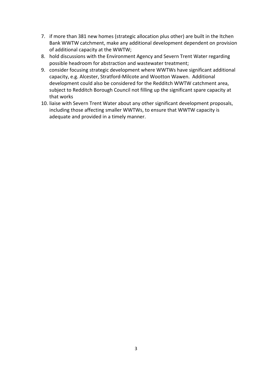- 7. if more than 381 new homes (strategic allocation plus other) are built in the Itchen Bank WWTW catchment, make any additional development dependent on provision of additional capacity at the WWTW;
- 8. hold discussions with the Environment Agency and Severn Trent Water regarding possible headroom for abstraction and wastewater treatment;
- 9. consider focusing strategic development where WWTWs have significant additional capacity, e.g. Alcester, Stratford‐Milcote and Wootton Wawen. Additional development could also be considered for the Redditch WWTW catchment area, subject to Redditch Borough Council not filling up the significant spare capacity at that works
- 10. liaise with Severn Trent Water about any other significant development proposals, including those affecting smaller WWTWs, to ensure that WWTW capacity is adequate and provided in a timely manner.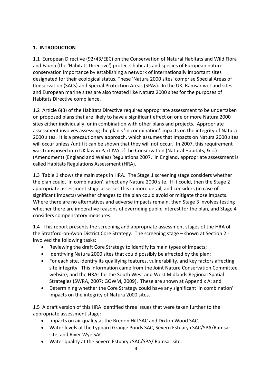# **1. INTRODUCTION**

1.1 European Directive (92/43/EEC) on the Conservation of Natural Habitats and Wild Flora and Fauna (the 'Habitats Directive') protects habitats and species of European nature conservation importance by establishing a network of internationally important sites designated for their ecological status. These 'Natura 2000 sites' comprise Special Areas of Conservation (SACs) and Special Protection Areas (SPAs). In the UK, Ramsar wetland sites and European marine sites are also treated like Natura 2000 sites for the purposes of Habitats Directive compliance.

1.2 Article 6(3) of the Habitats Directive requires appropriate assessment to be undertaken on proposed plans that are likely to have a significant effect on one or more Natura 2000 sites either individually, or in combination with other plans and projects. Appropriate assessment involves assessing the plan's 'in combination' impacts on the integrity of Natura 2000 sites. It is a precautionary approach, which assumes that impacts on Natura 2000 sites will occur unless /until it can be shown that they will not occur. In 2007, this requirement was transposed into UK law in Part IVA of the Conservation (Natural Habitats, & c.) (Amendment) (England and Wales) Regulations 2007. In England, appropriate assessment is called Habitats Regulations Assessment (HRA).

1.3 Table 1 shows the main steps in HRA. The Stage 1 screening stage considers whether the plan could, 'in combination', affect any Natura 2000 site. If it could, then the Stage 2 appropriate assessment stage assesses this in more detail, and considers (in case of significant impacts) whether changes to the plan could avoid or mitigate those impacts. Where there are no alternatives and adverse impacts remain, then Stage 3 involves testing whether there are imperative reasons of overriding public interest for the plan, and Stage 4 considers compensatory measures.

1.4 This report presents the screening and appropriate assessment stages of the HRA of the Stratford-on-Avon District Core Strategy. The screening stage – shown at Section 2 involved the following tasks:

- Reviewing the draft Core Strategy to identify its main types of impacts;
- Identifying Natura 2000 sites that could possibly be affected by the plan;
- For each site, identify its qualifying features, vulnerability, and key factors affecting site integrity. This information came from the Joint Nature Conservation Committee website, and the HRAs for the South West and West Midlands Regional Spatial Strategies (SWRA, 2007; GOWM, 2009). These are shown at Appendix A; and
- Determining whether the Core Strategy could have any significant 'in combination' impacts on the integrity of Natura 2000 sites.

1.5 A draft version of this HRA identified three issues that were taken further to the appropriate assessment stage:

- Impacts on air quality at the Bredon Hill SAC and Dixton Wood SAC.
- Water levels at the Lyppard Grange Ponds SAC, Severn Estuary cSAC/SPA/Ramsar site, and River Wye SAC.
- Water quality at the Severn Estuary cSAC/SPA/ Ramsar site.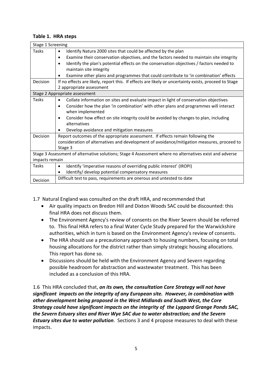# **Table 1. HRA steps**

| Stage 1 Screening |                                                                                                         |  |  |  |
|-------------------|---------------------------------------------------------------------------------------------------------|--|--|--|
| Tasks             | Identify Natura 2000 sites that could be affected by the plan<br>$\bullet$                              |  |  |  |
|                   | Examine their conservation objectives, and the factors needed to maintain site integrity<br>$\bullet$   |  |  |  |
|                   | Identify the plan's potential effects on the conservation objectives / factors needed to<br>$\bullet$   |  |  |  |
|                   | maintain site integrity                                                                                 |  |  |  |
|                   | Examine other plans and programmes that could contribute to 'in combination' effects<br>٠               |  |  |  |
| Decision          | If no effects are likely, report this. If effects are likely or uncertainty exists, proceed to Stage    |  |  |  |
|                   | 2 appropriate assessment                                                                                |  |  |  |
|                   | Stage 2 Appropriate assessment                                                                          |  |  |  |
| Tasks             | Collate information on sites and evaluate impact in light of conservation objectives<br>$\bullet$       |  |  |  |
|                   | Consider how the plan 'in combination' with other plans and programmes will interact<br>$\bullet$       |  |  |  |
|                   | when implemented                                                                                        |  |  |  |
|                   | Consider how effect on site integrity could be avoided by changes to plan, including<br>٠               |  |  |  |
|                   | alternatives                                                                                            |  |  |  |
|                   | Develop avoidance and mitigation measures                                                               |  |  |  |
| Decision          | Report outcomes of the appropriate assessment. If effects remain following the                          |  |  |  |
|                   | consideration of alternatives and development of avoidance/mitigation measures, proceed to              |  |  |  |
|                   | Stage 3                                                                                                 |  |  |  |
|                   | Stage 3 Assessment of alternative solutions; Stage 4 Assessment where no alternatives exist and adverse |  |  |  |
| impacts remain    |                                                                                                         |  |  |  |
| <b>Tasks</b>      | Identify 'imperative reasons of overriding public interest' (IROPI)<br>$\bullet$                        |  |  |  |
|                   | Identify/ develop potential compensatory measures<br>$\bullet$                                          |  |  |  |
| Decision          | Difficult test to pass, requirements are onerous and untested to date                                   |  |  |  |

1.7 Natural England was consulted on the draft HRA, and recommended that

- Air quality impacts on Bredon Hill and Dixton Woods SAC could be discounted: this final HRA does not discuss them.
- The Environment Agency's review of consents on the River Severn should be referred to. This final HRA refers to a final Water Cycle Study prepared for the Warwickshire authorities, which in turn is based on the Environment Agency's review of consents.
- The HRA should use a precautionary approach to housing numbers, focusing on total housing allocations for the district rather than simply strategic housing allocations. This report has done so.
- Discussions should be held with the Environment Agency and Severn regarding possible headroom for abstraction and wastewater treatment. This has been included as a conclusion of this HRA.

1.6 This HRA concluded that, *on its own, the consultation Core Strategy will not have significant impacts on the integrity of any European site. However, in combination with other development being proposed in the West Midlands and South West, the Core Strategy could have significant impacts on the integrity of the Lyppard Grange Ponds SAC, the Severn Estuary sites and River Wye SAC due to water abstraction; and the Severn Estuary sites due to water pollution*. Sections 3 and 4 propose measures to deal with these impacts.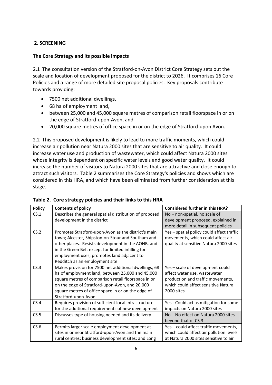# **2. SCREENING**

## **The Core Strategy and its possible impacts**

2.1 The consultation version of the Stratford-on-Avon District Core Strategy sets out the scale and location of development proposed for the district to 2026. It comprises 16 Core Policies and a range of more detailed site proposal policies. Key proposals contribute towards providing:

- 7500 net additional dwellings,
- 68 ha of employment land,
- between 25,000 and 45,000 square metres of comparison retail floorspace in or on the edge of Stratford‐upon‐Avon, and
- 20,000 square metres of office space in or on the edge of Stratford-upon Avon.

2.2 This proposed development is likely to lead to more traffic moments, which could increase air pollution near Natura 2000 sites that are sensitive to air quality. It could increase water use and production of wastewater, which could affect Natura 2000 sites whose integrity is dependent on specific water levels and good water quality. It could increase the number of visitors to Natura 2000 sites that are attractive and close enough to attract such visitors. Table 2 summarises the Core Strategy's policies and shows which are considered in this HRA, and which have been eliminated from further consideration at this stage.

| <b>Policy</b> | <b>Contents of policy</b>                              | <b>Considered further in this HRA?</b>    |
|---------------|--------------------------------------------------------|-------------------------------------------|
| CS.1          | Describes the general spatial distribution of proposed | No - non-spatial, no scale of             |
|               | development in the district                            | development proposed, explained in        |
|               |                                                        | more detail in subsequent policies        |
| CS.2          | Promotes Stratford-upon-Avon as the district's main    | Yes - spatial policy could affect traffic |
|               | town; Alcester, Shipston-on-Stour and Southam and      | movements, which could affect air         |
|               | other places. Resists development in the AONB, and     | quality at sensitive Natura 2000 sites    |
|               | in the Green Belt except for limited infilling for     |                                           |
|               | employment uses; promotes land adjacent to             |                                           |
|               | Redditch as an employment site                         |                                           |
| CS.3          | Makes provision for 7500 net additional dwellings, 68  | Yes - scale of development could          |
|               | ha of employment land, between 25,000 and 45,000       | affect water use, wastewater              |
|               | square metres of comparison retail floorspace in or    | production and traffic movements,         |
|               | on the edge of Stratford-upon-Avon, and 20,000         | which could affect sensitive Natura       |
|               | square metres of office space in or on the edge of     | 2000 sites                                |
|               | Stratford-upon-Avon                                    |                                           |
| CS.4          | Requires provision of sufficient local infrastructure  | Yes - Could act as mitigation for some    |
|               | for the additional requirements of new development     | impacts on Natura 2000 sites              |
| CS.5          | Discusses type of housing needed and its delivery      | No - No effect on Natura 2000 sites       |
|               |                                                        | beyond that of CS.3                       |
| CS.6          | Permits larger scale employment development at         | Yes - could affect traffic movements,     |
|               | sites in or near Stratford-upon-Avon and the main      | which could affect air pollution levels   |
|               | rural centres; business development sites; and Long    | at Natura 2000 sites sensitive to air     |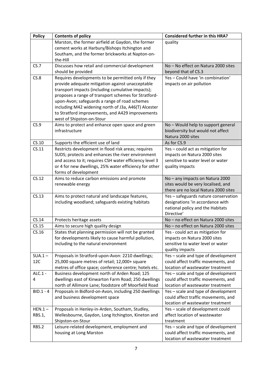| <b>Policy</b> | <b>Contents of policy</b>                                                                                     | <b>Considered further in this HRA?</b>                                   |
|---------------|---------------------------------------------------------------------------------------------------------------|--------------------------------------------------------------------------|
|               | Marston, the former airfield at Gaydon, the former                                                            | quality                                                                  |
|               | cement works at Harbury/Bishops Itchington and                                                                |                                                                          |
|               | Southam, and the former brickworks at Napton-on-                                                              |                                                                          |
|               | the-Hill                                                                                                      |                                                                          |
| CS.7          | Discusses how retail and commercial development                                                               | No - No effect on Natura 2000 sites                                      |
|               | should be provided                                                                                            | beyond that of CS.3                                                      |
| CS.8          | Requires developments to be permitted only if they                                                            | Yes - Could have 'in combination'                                        |
|               | provide adequate mitigation against unacceptable<br>transport impacts (including cumulative impacts);         | impacts on air pollution                                                 |
|               | proposes a range of transport schemes for Stratford-                                                          |                                                                          |
|               | upon-Avon; safeguards a range of road schemes                                                                 |                                                                          |
|               | including M42 widening north of J3a, A46(T) Alcester                                                          |                                                                          |
|               | to Stratford improvements, and A429 improvements                                                              |                                                                          |
|               | west of Shipston-on-Stour                                                                                     |                                                                          |
| CS.9          | Aims to protect and enhance open space and green                                                              | No - Would help to support general                                       |
|               | infrastructure                                                                                                | biodiversity but would not affect                                        |
|               |                                                                                                               | Natura 2000 sites                                                        |
| CS.10         | Supports the efficient use of land                                                                            | As for CS.9                                                              |
| CS.11         | Restricts development in flood risk areas; requires                                                           | Yes - could act as mitigation for                                        |
|               | SUDS; protects and enhances the river environment                                                             | impacts on Natura 2000 sites                                             |
|               | and access to it; requires CSH water efficiency level 3                                                       | sensitive to water level or water                                        |
|               | or 4 for new dwellings, 25% water efficiency for other                                                        | quality impacts                                                          |
|               | forms of development                                                                                          |                                                                          |
| CS.12         | Aims to reduce carbon emissions and promote                                                                   | No - any impacts on Natura 2000                                          |
|               | renewable energy                                                                                              | sites would be very localised, and                                       |
| CS.13         |                                                                                                               | there are no local Natura 2000 sites                                     |
|               | Aims to protect natural and landscape features,<br>including woodland; safeguards existing habitats           | Yes - safeguards nature conservation<br>designations 'in accordance with |
|               |                                                                                                               | national policy and the Habitats                                         |
|               |                                                                                                               | Directive'                                                               |
| CS.14         | Protects heritage assets                                                                                      | No - no effect on Natura 2000 sites                                      |
| CS.15         | Aims to secure high quality design                                                                            | No - no effect on Natura 2000 sites                                      |
| CS.16         | States that planning permission will not be granted                                                           | Yes - could act as mitigation for                                        |
|               | for developments likely to cause harmful pollution,                                                           | impacts on Natura 2000 sites                                             |
|               | including to the natural environment                                                                          | sensitive to water level or water                                        |
|               |                                                                                                               | quality impacts                                                          |
| $SUA.1 -$     | Proposals in Stratford-upon-Avon: 2210 dwellings;                                                             | Yes - scale and type of development                                      |
| 12C           | 25,000 square metres of retail; 12,000+ square                                                                | could affect traffic movements, and                                      |
|               | metres of office space; conference centre; hotels etc.                                                        | location of wastewater treatment                                         |
| ALC.1 -       | Business development north of Arden Road; 125                                                                 | Yes - scale and type of development                                      |
| 4             | dwellings east of Kinwarton Farm Road; 250 dwellings                                                          | could affect traffic movements, and<br>location of wastewater treatment  |
| $BID.1 - 4$   | north of Allimore Lane; foodstore off Moorfield Road<br>Proposals in Bidford-on-Avon, including 250 dwellings | Yes - scale and type of development                                      |
|               | and business development space                                                                                | could affect traffic movements, and                                      |
|               |                                                                                                               | location of wastewater treatment                                         |
| $HEN.1 -$     | Proposals in Henley-in-Arden, Southam, Studley,                                                               | Yes - scale of development could                                         |
| RBS.1,        | Wellesbourne, Gaydon, Long Itchington, Kineton and                                                            | affect location of wastewater                                            |
|               | Shipston-on-Stour                                                                                             | treatment                                                                |
| RBS.2         | Leisure-related development, employment and                                                                   | Yes - scale and type of development                                      |
|               | housing at Long Marston                                                                                       | could affect traffic movements, and                                      |
|               |                                                                                                               | location of wastewater treatment                                         |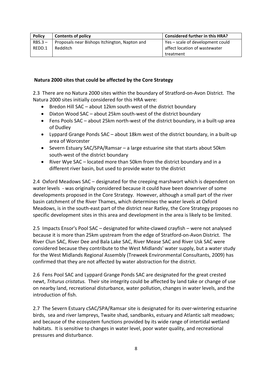| <b>Policy</b> | <b>Contents of policy</b>                     | <b>Considered further in this HRA?</b> |
|---------------|-----------------------------------------------|----------------------------------------|
| $RBS.3 -$     | Proposals near Bishops Itchington, Napton and | Yes – scale of development could       |
| REDD.1        | Redditch                                      | affect location of wastewater          |
|               |                                               | treatment                              |

## **Natura 2000 sites that could be affected by the Core Strategy**

2.3 There are no Natura 2000 sites within the boundary of Stratford‐on‐Avon District. The Natura 2000 sites initially considered for this HRA were:

- Bredon Hill SAC about 12km south-west of the district boundary
- Dixton Wood SAC about 25km south‐west of the district boundary
- Fens Pools SAC about 25km north‐west of the district boundary, in a built‐up area of Dudley
- Lyppard Grange Ponds SAC about 18km west of the district boundary, in a built‐up area of Worcester
- Severn Estuary SAC/SPA/Ramsar a large estuarine site that starts about 50km south‐west of the district boundary
- River Wye SAC located more than 50km from the district boundary and in a different river basin, but used to provide water to the district

2.4 Oxford Meadows SAC – designated for the creeping marshwort which is dependent on water levels - was originally considered because it could have been downriver of some developments proposed in the Core Strategy. However, although a small part of the river basin catchment of the River Thames, which determines the water levels at Oxford Meadows, is in the south‐east part of the district near Ratley, the Core Strategy proposes no specific development sites in this area and development in the area is likely to be limited.

2.5 Impacts Ensor's Pool SAC – designated for white‐clawed crayfish – were not analysed because it is more than 25km upstream from the edge of Stratford‐on‐Avon District. The River Clun SAC, River Dee and Bala Lake SAC, River Mease SAC and River Usk SAC were considered because they contribute to the West Midlands' water supply, but a water study for the West Midlands Regional Assembly (Treweek Environmental Consultants, 2009) has confirmed that they are not affected by water abstraction for the district.

2.6 Fens Pool SAC and Lyppard Grange Ponds SAC are designated for the great crested newt, *Triturus cristatus.* Their site integrity could be affected by land take or change of use on nearby land, recreational disturbance, water pollution, changes in water levels, and the introduction of fish.

2.7 The Severn Estuary cSAC/SPA/Ramsar site is designated for its over-wintering estuarine birds, sea and river lampreys, Twaite shad, sandbanks, estuary and Atlantic salt meadows; and because of the ecosystem functions provided by its wide range of intertidal wetland habitats. It is sensitive to changes in water level, poor water quality, and recreational pressures and disturbance.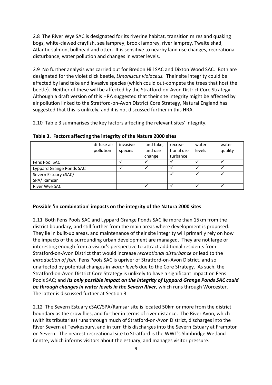2.8 The River Wye SAC is designated for its riverine habitat, transition mires and quaking bogs, white‐clawed crayfish, sea lamprey, brook lamprey, river lamprey, Twaite shad, Atlantic salmon, bullhead and otter. It is sensitive to nearby land use changes, recreational disturbance, water pollution and changes in water levels.

2.9 No further analysis was carried out for Bredon Hill SAC and Dixton Wood SAC. Both are designated for the violet click beetle, *Limoniscus violaceus.* Their site integrity could be affected by land take and invasive species (which could out‐compete the trees that host the beetle). Neither of these will be affected by the Stratford-on-Avon District Core Strategy. Although a draft version of this HRA suggested that their site integrity might be affected by air pollution linked to the Stratford‐on‐Avon District Core Strategy, Natural England has suggested that this is unlikely, and it is not discussed further in this HRA.

2.10 Table 3 summarises the key factors affecting the relevant sites' integrity.

|                          | diffuse air<br>pollution | invasive<br>species | land take,<br>land use<br>change | recrea-<br>tional dis-<br>turbance | water<br>levels | water<br>quality |
|--------------------------|--------------------------|---------------------|----------------------------------|------------------------------------|-----------------|------------------|
| Fens Pool SAC            |                          |                     |                                  |                                    |                 |                  |
| Lyppard Grange Ponds SAC |                          |                     |                                  |                                    |                 |                  |
| Severn Estuary cSAC/     |                          |                     |                                  |                                    |                 |                  |
| SPA/Ramsar               |                          |                     |                                  |                                    |                 |                  |
| River Wye SAC            |                          |                     |                                  |                                    |                 |                  |

**Table 3. Factors affecting the integrity of the Natura 2000 sites**

## **Possible 'in combination' impacts on the integrity of the Natura 2000 sites**

2.11 Both Fens Pools SAC and Lyppard Grange Ponds SAC lie more than 15km from the district boundary, and still further from the main areas where development is proposed. They lie in built‐up areas, and maintenance of their site integrity will primarily rely on how the impacts of the surrounding urban development are managed. They are not large or interesting enough from a visitor's perspective to attract additional residents from Stratford‐on‐Avon District that would increase *recreational disturbance* or lead to the *introduction of fish*. Fens Pools SAC is upriver of Stratford‐on‐Avon District, and so unaffected by potential changes in *water levels* due to the Core Strategy. As such, the Stratford‐on‐Avon District Core Strategy is unlikely to have a significant impact on Fens Pools SAC; and *its only possible impact on the integrity of Lyppard Grange Ponds SAC could be through changes in water levels in the Severn River,* which runs through Worcester. The latter is discussed further at Section 3.

2.12 The Severn Estuary cSAC/SPA/Ramsar site is located 50km or more from the district boundary as the crow flies, and further in terms of river distance. The River Avon, which (with its tributaries) runs through much of Stratford‐on‐Avon District, discharges into the River Severn at Tewkesbury, and in turn this discharges into the Severn Estuary at Frampton on Severn. The nearest recreational site to Stratford is the WWT's Slimbridge Wetland Centre, which informs visitors about the estuary, and manages visitor pressure.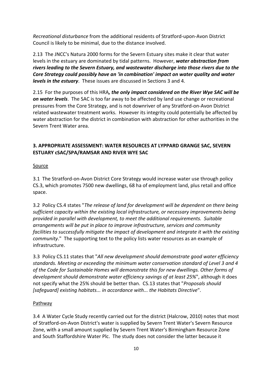*Recreational disturbance* from the additional residents of Stratford‐upon‐Avon District Council is likely to be minimal, due to the distance involved.

2.13 The JNCC's Natura 2000 forms for the Severn Estuary sites make it clear that water levels in the estuary are dominated by tidal patterns. However, *water abstraction from rivers leading to the Severn Estuary, and wastewater discharge into those rivers due to the Core Strategy could possibly have an 'in combination' impact on water quality and water levels in the estuary*. These issues are discussed in Sections 3 and 4.

2.15 For the purposes of this HRA*, the only impact considered on the River Wye SAC will be on water levels*. The SAC is too far away to be affected by land use change or recreational pressures from the Core Strategy, and is not downriver of any Stratford‐on‐Avon District related wastewater treatment works. However its integrity could potentially be affected by water abstraction for the district in combination with abstraction for other authorities in the Severn Trent Water area.

# **3. APPROPRIATE ASSESSMENT: WATER RESOURCES AT LYPPARD GRANGE SAC, SEVERN ESTUARY cSAC/SPA/RAMSAR AND RIVER WYE SAC**

## **Source**

3.1 The Stratford‐on‐Avon District Core Strategy would increase water use through policy CS.3, which promotes 7500 new dwellings, 68 ha of employment land, plus retail and office space.

3.2 Policy CS.4 states "*The release of land for development will be dependent on there being sufficient capacity within the existing local infrastructure, or necessary improvements being provided in parallel with development, to meet the additional requirements. Suitable arrangements will be put in place to improve infrastructure, services and community facilities to successfully mitigate the impact of development and integrate it with the existing community*." The supporting text to the policy lists water resources as an example of infrastructure.

3.3 Policy CS.11 states that "*All new development should demonstrate good water efficiency standards. Meeting or exceeding the minimum water conservation standard of Level 3 and 4 of the Code for Sustainable Homes will demonstrate this for new dwellings. Other forms of development should demonstrate water efficiency savings of at least 25%*", although it does not specify what the 25% should be better than. CS.13 states that "*Proposals should [safeguard] existing habitats... in accordance with... the Habitats Directive*".

## Pathway

3.4 A Water Cycle Study recently carried out for the district (Halcrow, 2010) notes that most of Stratford‐on‐Avon District's water is supplied by Severn Trent Water's Severn Resource Zone, with a small amount supplied by Severn Trent Water's Birmingham Resource Zone and South Staffordshire Water Plc. The study does not consider the latter because it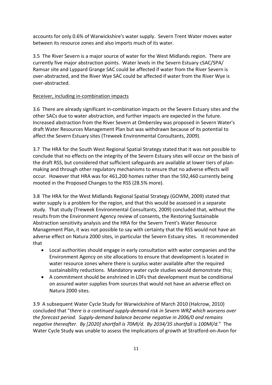accounts for only 0.6% of Warwickshire's water supply. Severn Trent Water moves water between its resource zones and also imports much of its water.

3.5 The River Severn is a major source of water for the West Midlands region. There are currently five major abstraction points. Water levels in the Severn Estuary cSAC/SPA/ Ramsar site and Lyppard Grange SAC could be affected if water from the River Severn is over‐abstracted, and the River Wye SAC could be affected if water from the River Wye is over‐abstracted.

## Receiver, including in‐combination impacts

3.6 There are already significant in‐combination impacts on the Severn Estuary sites and the other SACs due to water abstraction, and further impacts are expected in the future. Increased abstraction from the River Severn at Ombersley was proposed in Severn Water's draft Water Resources Management Plan but was withdrawn because of its potential to affect the Severn Estuary sites (Treweek Environmental Consultants, 2009).

3.7 The HRA for the South West Regional Spatial Strategy stated that it was not possible to conclude that no effects on the integrity of the Severn Estuary sites will occur on the basis of the draft RSS, but considered that sufficient safeguards are available at lower tiers of plan‐ making and through other regulatory mechanisms to ensure that no adverse effects will occur. However that HRA was for 461,200 homes rather than the 592,460 currently being mooted in the Proposed Changes to the RSS (28.5% more).

3.8 The HRA for the West Midlands Regional Spatial Strategy (GOWM, 2009) stated that water supply is a problem for the region, and that this would be assessed in a separate study. That study (Treweek Environmental Consultants, 2009) concluded that, without the results from the Environment Agency review of consents, the Restoring Sustainable Abstraction sensitivity analysis and the HRA for the Severn Trent's Water Resource Management Plan, it was not possible to say with certainty that the RSS would not have an adverse effect on Natura 2000 sites, in particular the Severn Estuary sites. It recommended that

- Local authorities should engage in early consultation with water companies and the Environment Agency on site allocations to ensure that development is located in water resource zones where there is surplus water available after the required sustainability reductions. Mandatory water cycle studies would demonstrate this;
- A commitment should be enshrined in LDFs that development must be conditional on assured water supplies from sources that would not have an adverse effect on Natura 2000 sites.

3.9 A subsequent Water Cycle Study for Warwickshire of March 2010 (Halcrow, 2010) concluded that "*there is a continued supply‐demand risk in Severn WRZ which worsens over the forecast period. Supply‐demand balance became negative in 2006/0 and remains negative thereafter. By [2020] shortfall is 70Ml/d. By 2034/35 shortfall is 100Ml/d.*" The Water Cycle Study was unable to assess the implications of growth at Stratford‐on‐Avon for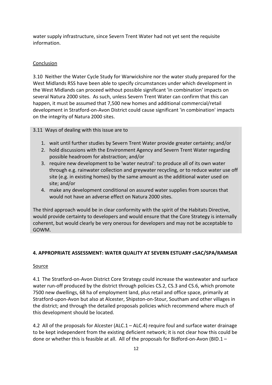water supply infrastructure, since Severn Trent Water had not yet sent the requisite information.

# Conclusion

3.10 Neither the Water Cycle Study for Warwickshire nor the water study prepared for the West Midlands RSS have been able to specify circumstances under which development in the West Midlands can proceed without possible significant 'in combination' impacts on several Natura 2000 sites. As such, unless Severn Trent Water can confirm that this can happen, it must be assumed that 7,500 new homes and additional commercial/retail development in Stratford‐on‐Avon District could cause significant 'in combination' impacts on the integrity of Natura 2000 sites.

3.11 Ways of dealing with this issue are to

- 1. wait until further studies by Severn Trent Water provide greater certainty; and/or
- 2. hold discussions with the Environment Agency and Severn Trent Water regarding possible headroom for abstraction; and/or
- 3. require new development to be 'water neutral': to produce all of its own water through e.g. rainwater collection and greywater recycling, or to reduce water use off site (e.g. in existing homes) by the same amount as the additional water used on site; and/or
- 4. make any development conditional on assured water supplies from sources that would not have an adverse effect on Natura 2000 sites.

The third approach would be in clear conformity with the spirit of the Habitats Directive, would provide certainty to developers and would ensure that the Core Strategy is internally coherent, but would clearly be very onerous for developers and may not be acceptable to GOWM.

# **4. APPROPRIATE ASSESSMENT: WATER QUALITY AT SEVERN ESTUARY cSAC/SPA/RAMSAR**

## Source

4.1 The Stratford-on-Avon District Core Strategy could increase the wastewater and surface water run-off produced by the district through policies CS.2, CS.3 and CS.6, which promote 7500 new dwellings, 68 ha of employment land, plus retail and office space, primarily at Stratford‐upon‐Avon but also at Alcester, Shipston‐on‐Stour, Southam and other villages in the district; and through the detailed proposals policies which recommend where much of this development should be located.

4.2 All of the proposals for Alcester (ALC.1 – ALC.4) require foul and surface water drainage to be kept independent from the existing deficient network; it is not clear how this could be done or whether this is feasible at all. All of the proposals for Bidford-on-Avon (BID.1 –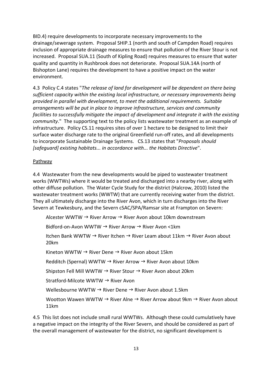BID.4) require developments to incorporate necessary improvements to the drainage/sewerage system. Proposal SHIP.1 (north and south of Campden Road) requires inclusion of appropriate drainage measures to ensure that pollution of the River Stour is not increased. Proposal SUA.11 (South of Kipling Road) requires measures to ensure that water quality and quantity in Rushbrook does not deteriorate. Proposal SUA.14A (north of Bishopton Lane) requires the development to have a positive impact on the water environment.

4.3 Policy C.4 states "*The release of land for development will be dependent on there being sufficient capacity within the existing local infrastructure, or necessary improvements being provided in parallel with development, to meet the additional requirements. Suitable arrangements will be put in place to improve infrastructure, services and community facilities to successfully mitigate the impact of development and integrate it with the existing community*." The supporting text to the policy lists wastewater treatment as an example of infrastructure.Policy CS.11 requires sites of over 1 hectare to be designed to limit their surface water discharge rate to the original Greenfield run‐off rates, and all developments to incorporate Sustainable Drainage Systems.CS.13 states that "*Proposals should [safeguard] existing habitats... in accordance with... the Habitats Directive*".

## Pathway

4.4 Wastewater from the new developments would be piped to wastewater treatment works (WWTWs) where it would be treated and discharged into a nearby river, along with other diffuse pollution. The Water Cycle Study for the district (Halcrow, 2010) listed the wastewater treatment works (WWTW) that are currently receiving water from the district. They all ultimately discharge into the River Avon, which in turn discharges into the River Severn at Tewkesbury, and the Severn cSAC/SPA/Ramsar site at Frampton on Severn:

Alcester WWTW  $\rightarrow$  River Arrow  $\rightarrow$  River Avon about 10km downstream

Bidford-on-Avon WWTW → River Arrow → River Avon <1km

Itchen Bank WWTW  $\rightarrow$  River Itchen  $\rightarrow$  River Leam about 11km  $\rightarrow$  River Avon about 20km

Kineton WWTW  $\rightarrow$  River Dene  $\rightarrow$  River Avon about 15km

Redditch (Spernal) WWTW  $\rightarrow$  River Arrow  $\rightarrow$  River Avon about 10km

Shipston Fell Mill WWTW  $\rightarrow$  River Stour  $\rightarrow$  River Avon about 20km

Stratford-Milcote WWTW → River Avon

Wellesbourne WWTW  $\rightarrow$  River Dene  $\rightarrow$  River Avon about 1.5km

Wootton Wawen WWTW  $\rightarrow$  River Alne  $\rightarrow$  River Arrow about 9km  $\rightarrow$  River Avon about 11km

4.5 This list does not include small rural WWTWs. Although these could cumulatively have a negative impact on the integrity of the River Severn, and should be considered as part of the overall management of wastewater for the district, no significant development is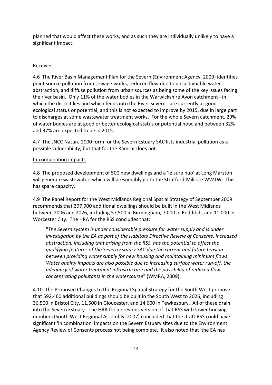planned that would affect these works, and as such they are individually unlikely to have a significant impact.

# Receiver

4.6 The River Basin Management Plan for the Severn (Environment Agency, 2009) identifies point source pollution from sewage works, reduced flow due to unsustainable water abstraction, and diffuse pollution from urban sources as being some of the key issues facing the river basin. Only 11% of the water bodies in the Warwickshire Avon catchment ‐ in which the district lies and which feeds into the River Severn - are currently at good ecological status or potential, and this is not expected to improve by 2015, due in large part to discharges at some wastewater treatment works. For the whole Severn catchment, 29% of water bodies are at good or better ecological status or potential now, and between 32% and 37% are expected to be in 2015.

4.7 The JNCC Natura 2000 form for the Severn Estuary SAC lists industrial pollution as a possible vulnerability, but that for the Ramsar does not.

## In‐combination impacts

4.8 The proposed development of 500 new dwellings and a 'leisure hub' at Long Marston will generate wastewater, which will presumably go to the Stratford-Milcote WWTW. This has spare capacity.

4.9 The Panel Report for the West Midlands Regional Spatial Strategy of September 2009 recommends that 397,900 additional dwellings should be built in the West Midlands between 2006 and 2026, including 57,500 in Birmingham, 7,000 in Redditch, and 11,000 in Worcester City. The HRA for the RSS concludes that:

"*The Severn system is under considerable pressure for water supply and is under investigation by the EA as part of the Habitats Directive Review of Consents. Increased abstraction, including that arising from the RSS, has the potential to affect the qualifying features of the Severn Estuary SAC due the current and future tension between providing water supply for new housing and maintaining minimum flows. Water quality impacts are also possible due to increasing surface water run‐off, the adequacy of water treatment infrastructure and the possibility of reduced flow concentrating pollutants in the watercourse*" (WMRA, 2009).

4.10 The Proposed Changes to the Regional Spatial Strategy for the South West propose that 592,460 additional buildings should be built in the South West to 2026, including 36,500 in Bristol City, 11,500 in Gloucester, and 14,600 in Tewkesbury. All of these drain into the Severn Estuary. The HRA for a previous version of that RSS with lower housing numbers (South West Regional Assembly, 2007) concluded that the draft RSS could have significant 'in combination' impacts on the Severn Estuary sites due to the Environment Agency Review of Consents process not being complete. It also noted that 'the EA has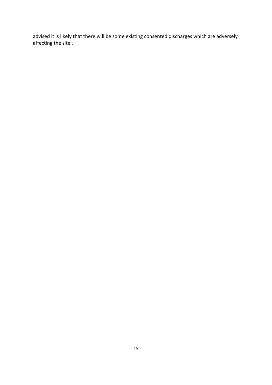advised it is likely that there will be some existing consented discharges which are adversely affecting the site'.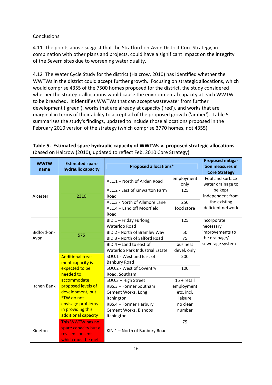# **Conclusions**

4.11 The points above suggest that the Stratford‐on‐Avon District Core Strategy, in combination with other plans and projects, could have a significant impact on the integrity of the Severn sites due to worsening water quality.

4.12 The Water Cycle Study for the district (Halcrow, 2010) has identified whether the WWTWs in the district could accept further growth. Focusing on strategic allocations, which would comprise 4355 of the 7500 homes proposed for the district, the study considered whether the strategic allocations would cause the environmental capacity at each WWTW to be breached. It identifies WWTWs that can accept wastewater from further development ('green'), works that are already at capacity ('red'), and works that are marginal in terms of their ability to accept all of the proposed growth ('amber'). Table 5 summarises the study's findings, updated to include those allocations proposed in the February 2010 version of the strategy (which comprise 3770 homes, not 4355).

| <b>WWTW</b><br>name | <b>Estimated spare</b><br>hydraulic capacity | <b>Proposed allocations*</b>    | <b>Proposed mitiga-</b><br>tion measures in<br><b>Core Strategy</b> |                                       |
|---------------------|----------------------------------------------|---------------------------------|---------------------------------------------------------------------|---------------------------------------|
|                     |                                              | ALC.1 - North of Arden Road     | employment<br>only                                                  | Foul and surface<br>water drainage to |
|                     |                                              | ALC.2 - East of Kinwarton Farm  | 125                                                                 | be kept                               |
| Alcester            | 2310                                         | Road                            |                                                                     | independent from                      |
|                     |                                              | ALC.3 - North of Allimore Lane  | 250                                                                 | the existing                          |
|                     |                                              | ALC.4 - Land off Moorfield      | food store                                                          | deficient network                     |
|                     |                                              | Road                            |                                                                     |                                       |
|                     |                                              | BID.1 - Friday Furlong,         | 125                                                                 | Incorporate                           |
|                     |                                              | Waterloo Road                   |                                                                     | necessary                             |
| Bidford-on-         | 575                                          | BID.2 - North of Bramley Way    | 50                                                                  | improvements to                       |
| Avon                |                                              | BID.3 - North of Salford Road   | 75                                                                  | the drainage/                         |
|                     |                                              | $BID.4 - Land to east of$       | business                                                            | sewerage system                       |
|                     |                                              | Waterloo Park Industrial Estate | devel. only                                                         |                                       |
|                     | <b>Additional treat-</b>                     | SOU.1 - West and East of        | 200                                                                 |                                       |
|                     | ment capacity is                             | <b>Banbury Road</b>             |                                                                     |                                       |
|                     | expected to be                               | SOU.2 - West of Coventry        | 100                                                                 |                                       |
|                     | needed to                                    | Road, Southam                   |                                                                     |                                       |
|                     | accommodate                                  | SOU.3 - High Street             | $15 + \text{retail}$                                                |                                       |
| <b>Itchen Bank</b>  | proposed levels of                           | RBS.3 - Former Southam          | employment                                                          |                                       |
|                     | development, but                             | Cement Works, Long              | etc. incl.                                                          |                                       |
|                     | <b>STW</b> do not                            | Itchington                      | leisure                                                             |                                       |
|                     | envisage problems                            | RBS.4 - Former Harbury          | no clear                                                            |                                       |
|                     | in providing this                            | Cement Works, Bishops           | number                                                              |                                       |
|                     | additional capacity                          | Itchington                      |                                                                     |                                       |
|                     | This WWTW has no                             |                                 | 75                                                                  |                                       |
| Kineton             | spare capacity but a                         | KIN.1 - North of Banbury Road   |                                                                     |                                       |
|                     | revised consent                              |                                 |                                                                     |                                       |
|                     | which must be met                            |                                 |                                                                     |                                       |

**Table 5. Estimated spare hydraulic capacity of WWTWs v. proposed strategic allocations** (based on Halcrow (2010), updated to reflect Feb. 2010 Core Strategy)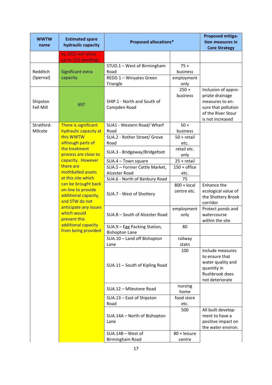| <b>WWTW</b><br>name   | <b>Estimated spare</b><br>hydraulic capacity                                                                                                | <b>Proposed allocations*</b>                                               | <b>Proposed mitiga-</b><br>tion measures in<br><b>Core Strategy</b> |                                                                                                                            |
|-----------------------|---------------------------------------------------------------------------------------------------------------------------------------------|----------------------------------------------------------------------------|---------------------------------------------------------------------|----------------------------------------------------------------------------------------------------------------------------|
|                       | by 2015 will allow<br>up to 150 dwellings                                                                                                   |                                                                            |                                                                     |                                                                                                                            |
| Redditch<br>(Spernal) | Significant extra<br>capacity                                                                                                               | STUD.1 - West of Birmingham<br>Road<br>REDD.1 - Winyates Green<br>Triangle | $75 +$<br>business<br>employment<br>only                            |                                                                                                                            |
| Shipston<br>Fell Mill | 697                                                                                                                                         | SHIP.1 - North and South of<br>Campden Road                                | $250 +$<br>business                                                 | Inclusion of appro-<br>priate drainage<br>measures to en-<br>sure that pollution<br>of the River Stour<br>is not increased |
| Stratford-<br>Milcote | There is significant<br>hydraulic capacity at                                                                                               | SUA1 - Western Road/ Wharf<br>Road                                         | $50+$<br>business                                                   |                                                                                                                            |
|                       | this WWTW<br>although parts of                                                                                                              | SUA.2 - Rother Street/ Grove<br>Road                                       | $50 + \text{retail}$<br>etc.                                        |                                                                                                                            |
|                       | the treatment<br>process are close to                                                                                                       | SUA.3 - Bridgeway/Bridgefoot                                               | retail etc.<br>only                                                 |                                                                                                                            |
|                       | capacity. However                                                                                                                           | SUA.4 - Town square                                                        | $25 + \text{retail}$                                                |                                                                                                                            |
|                       | there are                                                                                                                                   | SUA.5 - Former Cattle Market,                                              | $150 +$ office                                                      |                                                                                                                            |
|                       | mothballed assets                                                                                                                           | Alcester Road                                                              | etc.                                                                |                                                                                                                            |
|                       | at this site which                                                                                                                          | SUA.6 - North of Banbury Road                                              | 75                                                                  |                                                                                                                            |
|                       | can be brought back<br>on-line to provide<br>additional capacity,<br>and STW do not<br>anticipate any issues<br>which would<br>prevent this | SUA.7 - West of Shottery                                                   | $800 + local$<br>centre etc.                                        | Enhance the<br>ecological value of<br>the Shottery Brook<br>corridor                                                       |
|                       |                                                                                                                                             | SUA.8 - South of Alcester Road                                             | employment<br>only                                                  | Protect ponds and<br>watercourse<br>within the site                                                                        |
|                       | additional capacity<br>from being provided                                                                                                  | SUA.9 - Egg Packing Station,<br><b>Bishopton Lane</b>                      | 80                                                                  |                                                                                                                            |
|                       |                                                                                                                                             | SUA.10 - Land off Bishopton                                                | railway                                                             |                                                                                                                            |
|                       |                                                                                                                                             | Lane                                                                       | statn                                                               |                                                                                                                            |
|                       |                                                                                                                                             | SUA.11 - South of Kipling Road                                             | 100                                                                 | Include measures<br>to ensure that<br>water quality and<br>quantity in<br>Rushbrook does<br>not deteriorate                |
|                       |                                                                                                                                             | SUA.12 - Milestone Road                                                    | nursing<br>home                                                     |                                                                                                                            |
|                       |                                                                                                                                             | SUA.13 - East of Shipston<br>Road                                          | food store<br>etc.                                                  |                                                                                                                            |
|                       |                                                                                                                                             | SUA.14A - North of Bishopton<br>Lane                                       | 500                                                                 | All built develop-<br>ment to have a<br>positive impact on<br>the water environ.                                           |
|                       |                                                                                                                                             | $SUA.14B - West of$<br>Birmingham Road                                     | 80 + leisure<br>centre                                              |                                                                                                                            |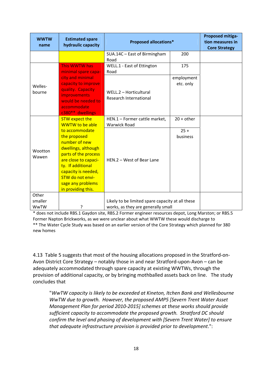| <b>WWTW</b><br>name | <b>Estimated spare</b><br>hydraulic capacity                                                                                                                                                                                             | <b>Proposed allocations*</b>                         |                         | <b>Proposed mitiga-</b><br>tion measures in<br><b>Core Strategy</b> |
|---------------------|------------------------------------------------------------------------------------------------------------------------------------------------------------------------------------------------------------------------------------------|------------------------------------------------------|-------------------------|---------------------------------------------------------------------|
|                     |                                                                                                                                                                                                                                          | SUA.14C - East of Birmingham<br>Road                 | 200                     |                                                                     |
|                     | This WWTW has<br>minimal spare capa-                                                                                                                                                                                                     | WELL.1 - East of Ettington<br>Road                   | 175                     |                                                                     |
| Welles-<br>bourne   | city and minimal<br>capacity to improve<br>quality. Capacity<br><i>improvements</i><br>would be needed to<br>accommodate<br>c380** dwellings                                                                                             | WELL.2 - Horticultural<br>Research International     | employment<br>etc. only |                                                                     |
|                     | <b>STW expect the</b><br><b>WWTW to be able</b>                                                                                                                                                                                          | HEN.1 - Former cattle market,<br><b>Warwick Road</b> | $20 + other$            |                                                                     |
| Wootton<br>Wawen    | to accommodate<br>the proposed<br>number of new<br>dwellings, although<br>parts of the process<br>are close to capaci-<br>ty. If additional<br>capacity is needed,<br><b>STW do not envi-</b><br>sage any problems<br>in providing this. | HEN.2 - West of Bear Lane                            | $25 +$<br>business      |                                                                     |
| Other<br>smaller    |                                                                                                                                                                                                                                          | Likely to be limited spare capacity at all these     |                         |                                                                     |
| <b>WwTW</b>         | ?                                                                                                                                                                                                                                        | works, as they are generally small                   |                         |                                                                     |

\* does not include RBS.1 Gaydon site, RBS.2 Former engineer resources depot, Long Marston; or RBS.5 Former Napton Brickworks, as we were unclear about what WWTW these would discharge to \*\* The Water Cycle Study was based on an earlier version of the Core Strategy which planned for 380 new homes

4.13 Table 5 suggests that most of the housing allocations proposed in the Stratford‐on‐ Avon District Core Strategy – notably those in and near Stratford‐upon‐Avon – can be adequately accommodated through spare capacity at existing WWTWs, through the provision of additional capacity, or by bringing mothballed assets back on line. The study concludes that

"*WwTW capacity is likely to be exceeded at Kineton, Itchen Bank and Wellesbourne WwTW due to growth. However, the proposed AMP5 [Severn Trent Water Asset Management Plan for period 2010‐2015] schemes at these works should provide sufficient capacity to accommodate the proposed growth. Stratford DC should confirm the level and phasing of development with [Severn Trent Water] to ensure that adequate infrastructure provision is provided prior to development*.":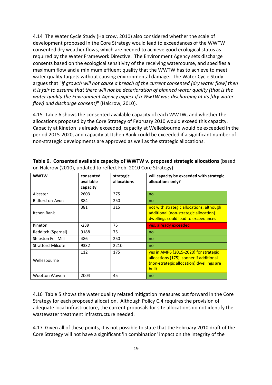4.14 The Water Cycle Study (Halcrow, 2010) also considered whether the scale of development proposed in the Core Strategy would lead to exceedances of the WWTW consented dry weather flows, which are needed to achieve good ecological status as required by the Water Framework Directive. The Environment Agency sets discharge consents based on the ecological sensitivity of the receiving watercourse, and specifies a maximum flow and a minimum effluent quality that the WWTW has to achieve to meet water quality targets without causing environmental damage. The Water Cycle Study argues that "*if growth will not cause a breach of the current consented [dry water flow] then it is fair to assume that there will not be deterioration of planned water quality (that is the water quality the Environment Agency expect if a WwTW was discharging at its [dry water flow] and discharge consent)*" (Halcrow, 2010).

4.15 Table 6 shows the consented available capacity of each WWTW, and whether the allocations proposed by the Core Strategy of February 2010 would exceed this capacity. Capacity at Kineton is already exceeded, capacity at Wellesbourne would be exceeded in the period 2015‐2020, and capacity at Itchen Bank could be exceeded if a significant number of non‐strategic developments are approved as well as the strategic allocations.

| <b>WWTW</b>          | consented<br>available<br>capacity | strategic<br>allocations | will capacity be exceeded with strategic<br>allocations only?                                                                                |
|----------------------|------------------------------------|--------------------------|----------------------------------------------------------------------------------------------------------------------------------------------|
| Alcester             | 2603                               | 375                      | no                                                                                                                                           |
| Bidford-on-Avon      | 884                                | 250                      | no                                                                                                                                           |
| Itchen Bank          | 381                                | 315                      | not with strategic allocations, although<br>additional (non-strategic allocation)<br>dwellings could lead to exceedances                     |
| Kineton              | $-239$                             | 75                       | yes, already exceeded                                                                                                                        |
| Redditch (Spernal)   | 9188                               | 75                       | no                                                                                                                                           |
| Shipston Fell Mill   | 486                                | 250                      | no                                                                                                                                           |
| Stratford-Milcote    | 9332                               | 2210                     | no                                                                                                                                           |
| Wellesbourne         | 112                                | 175                      | yes in AMP6 (2015-2020) for strategic<br>allocations (175), sooner if additional<br>(non-strategic allocation) dwellings are<br><b>built</b> |
| <b>Wootton Wawen</b> | 2004                               | 45                       | no                                                                                                                                           |

**Table 6. Consented available capacity of WWTW v. proposed strategic allocations** (based on Halcrow (2010), updated to reflect Feb. 2010 Core Strategy)

4.16 Table 5 shows the water quality related mitigation measures put forward in the Core Strategy for each proposed allocation. Although Policy C.4 requires the provision of adequate local infrastructure, the current proposals for site allocations do not identify the wastewater treatment infrastructure needed.

4.17 Given all of these points, it is not possible to state that the February 2010 draft of the Core Strategy will not have a significant 'in combination' impact on the integrity of the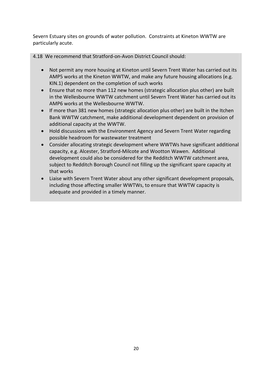Severn Estuary sites on grounds of water pollution. Constraints at Kineton WWTW are particularly acute.

4.18 We recommend that Stratford‐on‐Avon District Council should:

- Not permit any more housing at Kineton until Severn Trent Water has carried out its AMP5 works at the Kineton WWTW, and make any future housing allocations (e.g. KIN.1) dependent on the completion of such works
- Ensure that no more than 112 new homes (strategic allocation plus other) are built in the Wellesbourne WWTW catchment until Severn Trent Water has carried out its AMP6 works at the Wellesbourne WWTW.
- If more than 381 new homes (strategic allocation plus other) are built in the Itchen Bank WWTW catchment, make additional development dependent on provision of additional capacity at the WWTW.
- Hold discussions with the Environment Agency and Severn Trent Water regarding possible headroom for wastewater treatment
- Consider allocating strategic development where WWTWs have significant additional capacity, e.g. Alcester, Stratford‐Milcote and Wootton Wawen. Additional development could also be considered for the Redditch WWTW catchment area, subject to Redditch Borough Council not filling up the significant spare capacity at that works
- Liaise with Severn Trent Water about any other significant development proposals, including those affecting smaller WWTWs, to ensure that WWTW capacity is adequate and provided in a timely manner.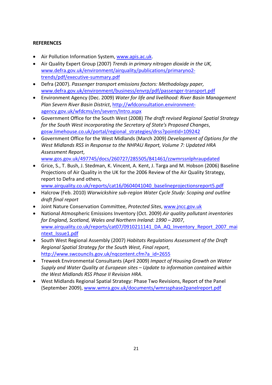# **REFERENCES**

- Air Pollution Information System, www.apis.ac.uk.
- Air Quality Expert Group (2007) *Trends in primary nitrogen dioxide in the UK,* www.defra.gov.uk/environment/airquality/publications/primaryno2‐ trends/pdf/executive‐summary.pdf
- Defra (2007). *Passenger transport emissions factors: Methodology paper,* www.defra.gov.uk/environment/business/envrp/pdf/passenger‐transport.pdf
- Environment Agency (Dec. 2009) *Water for life and livelihood: River Basin Management Plan Severn River Basin District*, http://wfdconsultation.environment‐ agency.gov.uk/wfdcms/en/severn/Intro.aspx
- Government Office for the South West (2008) *The draft revised Regional Spatial Strategy for the South West incorporating the Secretary of State's Proposed Changes*, gosw.limehouse.co.uk/portal/regional\_strategies/drss?pointId=109242
- Government Office for the West Midlands (March 2009) *Development of Options for the West Midlands RSS in Response to the NHPAU Report, Volume 7: Updated HRA Assessment Report*,

www.gos.gov.uk/497745/docs/260727/285505/841461/zzwmrssnlphraupdated

- Grice, S., T. Bush, J. Stedman, K. Vincent, A. Kent, J. Targa and M. Hobson (2006) Baseline Projections of Air Quality in the UK for the 2006 Review of the Air Quality Strategy, report to Defra and others,
	- www.airquality.co.uk/reports/cat16/0604041040\_baselineprojectionsreport5.pdf
- Halcrow (Feb. 2010) *Warwickshire sub‐region Water Cycle Study: Scoping and outline draft final report*
- Joint Nature Conservation Committee, *Protected Sites*, www.jncc.gov.uk
- National Atmospheric Emissions Inventory (Oct. 2009) *Air quality pollutant inventories for England, Scotland, Wales and Northern Ireland: 1990 – 2007*, www.airquality.co.uk/reports/cat07/0910211141\_DA\_AQ\_Inventory\_Report\_2007\_mai ntext\_Issue1.pdf
- South West Regional Assembly (2007) *Habitats Regulations Assessment of the Draft Regional Spatial Strategy for the South West, Final report*, http://www.swcouncils.gov.uk/nqcontent.cfm?a\_id=2655
- Treweek Environmental Consultants (April 2009) *Impact of Housing Growth on Water Supply and Water Quality at European sites – Update to information contained within the West Midlands RSS Phase II Revision HRA*.
- West Midlands Regional Spatial Strategy: Phase Two Revisions, Report of the Panel (September 2009), www.wmra.gov.uk/documents/wmrssphase2panelreport.pdf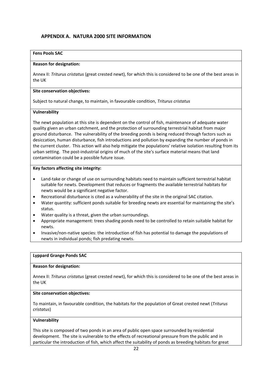## **APPENDIX A. NATURA 2000 SITE INFORMATION**

### **Fens Pools SAC**

#### **Reason for designation:**

Annex II: *Triturus cristatus* (great crested newt), for which this is considered to be one of the best areas in the UK

#### **Site conservation objectives:**

Subject to natural change, to maintain, in favourable condition, *Triturus cristatus*

#### **Vulnerability**

The newt population at this site is dependent on the control of fish, maintenance of adequate water quality given an urban catchment, and the protection of surrounding terrestrial habitat from major ground disturbance. The vulnerability of the breeding ponds is being reduced through factors such as desiccation, human disturbance, fish introductions and pollution by expanding the number of ponds in the current cluster. This action will also help mitigate the populations' relative isolation resulting from its urban setting. The post-industrial origins of much of the site's surface material means that land contamination could be a possible future issue.

#### **Key factors affecting site integrity:**

- Land-take or change of use on surrounding habitats need to maintain sufficient terrestrial habitat suitable for newts. Development that reduces or fragments the available terrestrial habitats for newts would be a significant negative factor.
- Recreational disturbance is cited as a vulnerability of the site in the original SAC citation.
- Water quantity: sufficient ponds suitable for breeding newts are essential for maintaining the site's status.
- Water quality is a threat, given the urban surroundings.
- Appropriate management: trees shading ponds need to be controlled to retain suitable habitat for newts.
- Invasive/non‐native species: the introduction of fish has potential to damage the populations of newts in individual ponds; fish predating newts.

#### **Lyppard Grange Ponds SAC**

#### **Reason for designation:**

Annex II: *Triturus cristatus* (great crested newt), for which this is considered to be one of the best areas in the UK

#### **Site conservation objectives:**

To maintain, in favourable condition, the habitats for the population of Great crested newt (*Triturus cristatus*)

#### **Vulnerability**

This site is composed of two ponds in an area of public open space surrounded by residential development. The site is vulnerable to the effects of recreational pressure from the public and in particular the introduction of fish, which affect the suitability of ponds as breeding habitats for great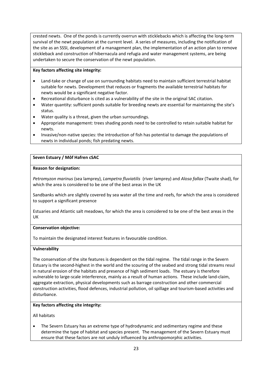crested newts. One of the ponds is currently overrun with sticklebacks which is affecting the long‐term survival of the newt population at the current level. A series of measures, including the notification of the site as an SSSI, development of a management plan, the implementation of an action plan to remove stickleback and construction of hibernacula and refugia and water management systems, are being undertaken to secure the conservation of the newt population.

#### **Key factors affecting site integrity:**

- Land-take or change of use on surrounding habitats need to maintain sufficient terrestrial habitat suitable for newts. Development that reduces or fragments the available terrestrial habitats for newts would be a significant negative factor.
- Recreational disturbance is cited as a vulnerability of the site in the original SAC citation.
- Water quantity: sufficient ponds suitable for breeding newts are essential for maintaining the site's status.
- Water quality is a threat, given the urban surroundings.
- Appropriate management: trees shading ponds need to be controlled to retain suitable habitat for newts.
- Invasive/non‐native species: the introduction of fish has potential to damage the populations of newts in individual ponds; fish predating newts.

#### **Seven Estuary / Môf Hafren cSAC**

#### **Reason for designation:**

*Petromyzon marinus* (sea lamprey), *Lampetra fluviatilis* (river lamprey) and *Alosa fallax* (Twaite shad), for which the area is considered to be one of the best areas in the UK

Sandbanks which are slightly covered by sea water all the time and reefs, for which the area is considered to support a significant presence

Estuaries and Atlantic salt meadows, for which the area is considered to be one of the best areas in the UK

#### **Conservation objective:**

To maintain the designated interest features in favourable condition.

#### **Vulnerability**

The conservation of the site features is dependent on the tidal regime. The tidal range in the Severn Estuary is the second‐highest in the world and the scouring of the seabed and strong tidal streams resul in natural erosion of the habitats and presence of high sediment loads. The estuary is therefore vulnerable to large‐scale interference, mainly as a result of human actions. These include land‐claim, aggregate extraction, physical developments such as barrage construction and other commercial construction activities, flood defences, industrial pollution, oil spillage and tourism‐based activities and disturbance.

#### **Key factors affecting site integrity:**

All habitats

 The Severn Estuary has an extreme type of hydrodynamic and sedimentary regime and these determine the type of habitat and species present. The management of the Severn Estuary must ensure that these factors are not unduly influenced by anthropomorphic activities.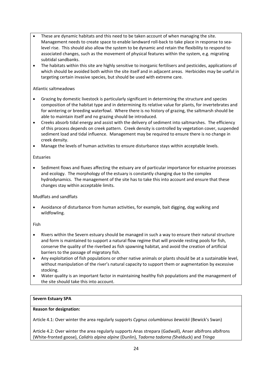- These are dynamic habitats and this need to be taken account of when managing the site. Management needs to create space to enable landward roll-back to take place in response to sealevel rise. This should also allow the system to be dynamic and retain the flexibility to respond to associated changes, such as the movement of physical features within the system, e.g. migrating subtidal sandbanks.
- The habitats within this site are highly sensitive to inorganic fertilisers and pesticides, applications of which should be avoided both within the site itself and in adjacent areas. Herbicides may be useful in targeting certain invasive species, but should be used with extreme care.

## Atlantic saltmeadows

- Grazing by domestic livestock is particularly significant in determining the structure and species composition of the habitat type and in determining its relative value for plants, for invertebrates and for wintering or breeding waterfowl. Where there is no history of grazing, the saltmarsh should be able to maintain itself and no grazing should be introduced.
- Creeks absorb tidal energy and assist with the delivery of sediment into saltmarshes. The efficiency of this process depends on creek pattern. Creek density is controlled by vegetation cover, suspended sediment load and tidal influence. Management may be required to ensure there is no change in creek density.
- Manage the levels of human activities to ensure disturbance stays within acceptable levels.

#### Estuaries

 Sediment flows and fluxes affecting the estuary are of particular importance for estuarine processes and ecology. The morphology of the estuary is constantly changing due to the complex hydrodynamics. The management of the site has to take this into account and ensure that these changes stay within acceptable limits.

## Mudflats and sandflats

 Avoidance of disturbance from human activities, for example, bait digging, dog walking and wildfowling.

Fish

- Rivers within the Severn estuary should be managed in such a way to ensure their natural structure and form is maintained to support a natural flow regime that will provide resting pools for fish, conserve the quality of the riverbed as fish spawning habitat, and avoid the creation of artificial barriers to the passage of migratory fish.
- Any exploitation of fish populations or other native animals or plants should be at a sustainable level, without manipulation of the river's natural capacity to support them or augmentation by excessive stocking.
- Water quality is an important factor in maintaining healthy fish populations and the management of the site should take this into account.

## **Severn Estuary SPA**

## **Reason for designation:**

Article 4.1: Over winter the area regularly supports *Cygnus columbianus bewickii* (Bewick's Swan)

Article 4.2: Over winter the area regularly supports Anas strepara (Gadwall), Anser albifrons albifrons (White‐fronted goose), *Calidris alpina alpine* (Dunlin), *Tadorna tadorna (*Shelduck) and *Tringa*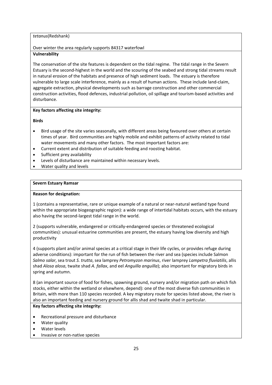#### *tetanus*(Redshank)

## Over winter the area regularly supports 84317 waterfowl

## **Vulnerability**

The conservation of the site features is dependent on the tidal regime. The tidal range in the Severn Estuary is the second‐highest in the world and the scouring of the seabed and strong tidal streams result in natural erosion of the habitats and presence of high sediment loads. The estuary is therefore vulnerable to large scale interference, mainly as a result of human actions. These include land‐claim, aggregate extraction, physical developments such as barrage construction and other commercial construction activities, flood defences, industrial pollution, oil spillage and tourism‐based activities and disturbance.

#### **Key factors affecting site integrity:**

#### **Birds**

- Bird usage of the site varies seasonally, with different areas being favoured over others at certain times of year. Bird communities are highly mobile and exhibit patterns of activity related to tidal water movements and many other factors. The most important factors are:
- Current extent and distribution of suitable feeding and roosting habitat.
- Sufficient prey availability
- Levels of disturbance are maintained within necessary levels.
- Water quality and levels

#### **Severn Estuary Ramsar**

### **Reason for designation:**

1 (contains a representative, rare or unique example of a natural or near‐natural wetland type found within the appropriate biogeographic region): a wide range of intertidal habitats occurs, with the estuary also having the second‐largest tidal range in the world.

2 (supports vulnerable, endangered or critically‐endangered species or threatened ecological communities): unusual estuarine communities are present, the estuary having low diversity and high productivity

4 (supports plant and/or animal species at a critical stage in their life cycles, or provides refuge during adverse conditions): important for the run of fish between the river and sea (species include Salmon *Salmo salar*, sea trout *S. trutta*, sea lamprey *Petromyzon marinus*, river lamprey *Lampetra fluviatilis*, allis shad *Alosa alosa*, twaite shad *A. fallax*, and eel *Anguilla anguilla*); also important for migratory birds in spring and autumn.

8 (an important source of food for fishes, spawning ground, nursery and/or migration path on which fish stocks, either within the wetland or elsewhere, depend): one of the most diverse fish communities in Britain, with more than 110 species recorded. A key migratory route for species listed above, the river is also an important feeding and nursery ground for allis shad and twaite shad in particular.

## **Key factors affecting site integrity:**

- Recreational pressure and disturbance
- Water quality
- Water levels
- Invasive or non‐native species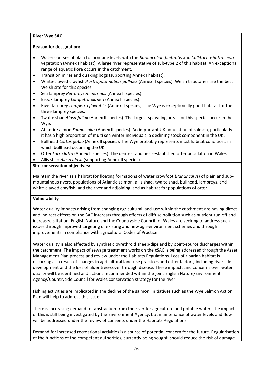#### **River Wye SAC**

#### **Reason for designation:**

- Water courses of plain to montane levels with the *Ranunculion fluitantis* and *Callitricho‐Batrachion* vegetation (Annex I habitat). A large river representative of sub‐type 2 of this habitat. An exceptional range of aquatic flora occurs in the catchment.
- Transition mires and quaking bogs (supporting Annex I habitat).
- White‐clawed crayfish *Austropotamobius pallipes* (Annex II species). Welsh tributaries are the best Welsh site for this species.
- Sea lamprey *Petromyzon marinus* (Annex II species).
- Brook lamprey *Lampetra planeri* (Annex II species).
- River lamprey *Lampetra fluviatilis* (Annex II species). The Wye is exceptionally good habitat for the three lamprey species.
- Twaite shad *Alosa fallax* (Annex II species). The largest spawning areas for this species occur in the Wye.
- Atlantic salmon *Salmo salar* (Annex II species). An important UK population of salmon, particularly as it has a high proportion of multi sea winter individuals, a declining stock component in the UK.
- Bullhead *Cottus gobio* (Annex II species). The Wye probably represents most habitat conditions in which bullhead occurring the UK.
- Otter *Lutra lutra* (Annex II species). The densest and best-established otter population in Wales.
- Allis shad *Alosa alosa* (supporting Annex II species).

#### **Site conservation objectives:**

Maintain the river as a habitat for floating formations of water crowfoot (*Ranunculus*) of plain and sub‐ mountainous rivers, populations of Atlantic salmon, allis shad, twaite shad, bullhead, lampreys, and white-clawed crayfish, and the river and adjoining land as habitat for populations of otter.

#### **Vulnerability**

Water quality impacts arising from changing agricultural land-use within the catchment are having direct and indirect effects on the SAC interests through effects of diffuse pollution such as nutrient run‐off and increased siltation. English Nature and the Countryside Council for Wales are seeking to address such issues through improved targeting of existing and new agri-environment schemes and through improvements in compliance with agricultural Codes of Practice.

Water quality is also affected by synthetic pyrethroid sheep-dips and by point-source discharges within the catchment. The impact of sewage treatment works on the cSAC is being addressed through the Asset Management Plan process and review under the Habitats Regulations. Loss of riparian habitat is occurring as a result of changes in agricultural land‐use practices and other factors, including riverside development and the loss of alder tree‐cover through disease. These impacts and concerns over water quality will be identified and actions recommended within the joint English Nature/Environment Agency/Countryside Council for Wales conservation strategy for the river.

Fishing activities are implicated in the decline of the salmon; initiatives such as the Wye Salmon Action Plan will help to address this issue.

There is increasing demand for abstraction from the river for agriculture and potable water. The impact of this is still being investigated by the Environment Agency, but maintenance of water levels and flow will be addressed under the review of consents under the Habitats Regulations.

Demand for increased recreational activities is a source of potential concern for the future. Regularisation of the functions of the competent authorities, currently being sought, should reduce the risk of damage